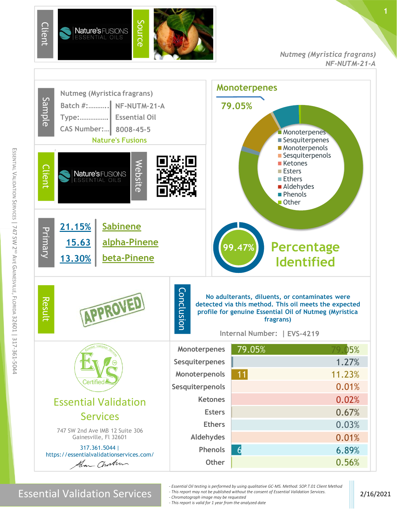

#### *Nutmeg (Myristica fragrans) NF-NUTM-21-A*

**1**



m

Essential Validation Services 2/16/2021

*- Essential Oil testing is performed by using qualitative GC-MS. Method: SOP.T.01 Client Method*

*- This report may not be published without the consent of Essential Validation Services. - Chromatograph image may be requested*

*- This report is valid for 1 year from the analyzed date*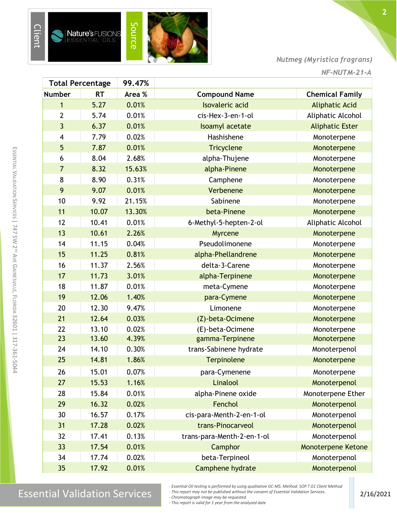

#### *Nutmeg (Myristica fragrans)*

| <b>Total Percentage</b> |           | 99.47% |                            |                        |
|-------------------------|-----------|--------|----------------------------|------------------------|
| <b>Number</b>           | <b>RT</b> | Area % | <b>Compound Name</b>       | <b>Chemical Family</b> |
| $\mathbf{1}$            | 5.27      | 0.01%  | <b>Isovaleric</b> acid     | <b>Aliphatic Acid</b>  |
| $\overline{2}$          | 5.74      | 0.01%  | cis-Hex-3-en-1-ol          | Aliphatic Alcohol      |
| $\overline{3}$          | 6.37      | 0.01%  | Isoamyl acetate            | <b>Aliphatic Ester</b> |
| $\overline{4}$          | 7.79      | 0.02%  | Hashishene                 | Monoterpene            |
| 5                       | 7.87      | 0.01%  | <b>Tricyclene</b>          | Monoterpene            |
| 6                       | 8.04      | 2.68%  | alpha-Thujene              | Monoterpene            |
| $\overline{7}$          | 8.32      | 15.63% | alpha-Pinene               | Monoterpene            |
| 8                       | 8.90      | 0.31%  | Camphene                   | Monoterpene            |
| 9                       | 9.07      | 0.01%  | Verbenene                  | Monoterpene            |
| 10                      | 9.92      | 21.15% | Sabinene                   | Monoterpene            |
| 11                      | 10.07     | 13.30% | beta-Pinene                | Monoterpene            |
| 12                      | 10.41     | 0.01%  | 6-Methyl-5-hepten-2-ol     | Aliphatic Alcohol      |
| 13                      | 10.61     | 2.26%  | Myrcene                    | Monoterpene            |
| 14                      | 11.15     | 0.04%  | Pseudolimonene             | Monoterpene            |
| 15                      | 11.25     | 0.81%  | alpha-Phellandrene         | Monoterpene            |
| 16                      | 11.37     | 2.56%  | delta-3-Carene             | Monoterpene            |
| 17                      | 11.73     | 3.01%  | alpha-Terpinene            | Monoterpene            |
| 18                      | 11.87     | 0.01%  | meta-Cymene                | Monoterpene            |
| 19                      | 12.06     | 1.40%  | para-Cymene                | Monoterpene            |
| 20                      | 12.30     | 9.47%  | Limonene                   | Monoterpene            |
| 21                      | 12.64     | 0.03%  | (Z)-beta-Ocimene           | Monoterpene            |
| 22                      | 13.10     | 0.02%  | (E)-beta-Ocimene           | Monoterpene            |
| 23                      | 13.60     | 4.39%  | gamma-Terpinene            | Monoterpene            |
| 24                      | 14.10     | 0.30%  | trans-Sabinene hydrate     | Monoterpenol           |
| 25                      | 14.81     | 1.86%  | Terpinolene                | Monoterpene            |
| 26                      | 15.01     | 0.07%  | para-Cymenene              | Monoterpene            |
| 27                      | 15.53     | 1.16%  | Linalool                   | Monoterpenol           |
| 28                      | 15.84     | 0.01%  | alpha-Pinene oxide         | Monoterpene Ether      |
| 29                      | 16.32     | 0.02%  | Fenchol                    | Monoterpenol           |
| 30                      | 16.57     | 0.17%  | cis-para-Menth-2-en-1-ol   | Monoterpenol           |
| 31                      | 17.28     | 0.02%  | trans-Pinocarveol          | Monoterpenol           |
| 32                      | 17.41     | 0.13%  | trans-para-Menth-2-en-1-ol | Monoterpenol           |
| 33                      | 17.54     | 0.01%  | Camphor                    | Monoterpene Ketone     |
| 34                      | 17.74     | 0.02%  | beta-Terpineol             | Monoterpenol           |
| 35                      | 17.92     | 0.01%  | Camphene hydrate           | Monoterpenol           |

E

m

### $\text{Essen}$  Essential Validation Services 2/16/2021

*- Essential Oil testing is performed by using qualitative GC-MS. Method: SOP.T.01 Client Method - This report may not be published without the consent of Essential Validation Services.*

*- Chromatograph image may be requested*

*- This report is valid for 1 year from the analyzed date*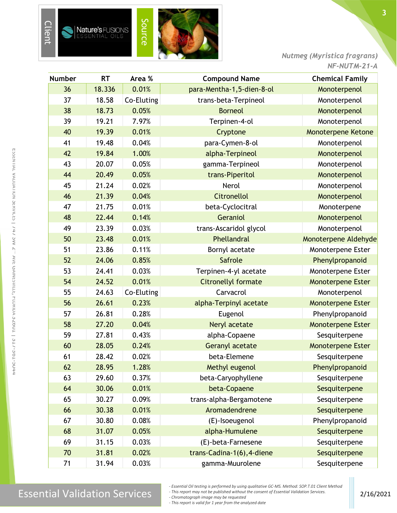

*Nutmeg (Myristica fragrans) NF-NUTM-21-A*

| <b>Number</b> | <b>RT</b> | Area %     | <b>Compound Name</b>       | <b>Chemical Family</b>    |
|---------------|-----------|------------|----------------------------|---------------------------|
| 36            | 18.336    | 0.01%      | para-Mentha-1,5-dien-8-ol  | Monoterpenol              |
| 37            | 18.58     | Co-Eluting | trans-beta-Terpineol       | Monoterpenol              |
| 38            | 18.73     | 0.05%      | <b>Borneol</b>             | Monoterpenol              |
| 39            | 19.21     | 7.97%      | Terpinen-4-ol              | Monoterpenol              |
| 40            | 19.39     | 0.01%      | Cryptone                   | <b>Monoterpene Ketone</b> |
| 41            | 19.48     | 0.04%      | para-Cymen-8-ol            | Monoterpenol              |
| 42            | 19.84     | 1.00%      | alpha-Terpineol            | Monoterpenol              |
| 43            | 20.07     | 0.05%      | gamma-Terpineol            | Monoterpenol              |
| 44            | 20.49     | 0.05%      | trans-Piperitol            | Monoterpenol              |
| 45            | 21.24     | 0.02%      | Nerol                      | Monoterpenol              |
| 46            | 21.39     | 0.04%      | <b>Citronellol</b>         | Monoterpenol              |
| 47            | 21.75     | 0.01%      | beta-Cyclocitral           | Monoterpene               |
| 48            | 22.44     | 0.14%      | Geraniol                   | Monoterpenol              |
| 49            | 23.39     | 0.03%      | trans-Ascaridol glycol     | Monoterpenol              |
| 50            | 23.48     | 0.01%      | Phellandral                | Monoterpene Aldehyde      |
| 51            | 23.86     | 0.11%      | Bornyl acetate             | Monoterpene Ester         |
| 52            | 24.06     | 0.85%      | Safrole                    | Phenylpropanoid           |
| 53            | 24.41     | 0.03%      | Terpinen-4-yl acetate      | Monoterpene Ester         |
| 54            | 24.52     | 0.01%      | <b>Citronellyl formate</b> | <b>Monoterpene Ester</b>  |
| 55            | 24.63     | Co-Eluting | Carvacrol                  | Monoterpenol              |
| 56            | 26.61     | 0.23%      | alpha-Terpinyl acetate     | <b>Monoterpene Ester</b>  |
| 57            | 26.81     | 0.28%      | Eugenol                    | Phenylpropanoid           |
| 58            | 27.20     | 0.04%      | Neryl acetate              | <b>Monoterpene Ester</b>  |
| 59            | 27.81     | 0.43%      | alpha-Copaene              | Sesquiterpene             |
| 60            | 28.05     | 0.24%      | <b>Geranyl acetate</b>     | <b>Monoterpene Ester</b>  |
| 61            | 28.42     | 0.02%      | beta-Elemene               | Sesquiterpene             |
| 62            | 28.95     | 1.28%      | Methyl eugenol             | Phenylpropanoid           |
| 63            | 29.60     | 0.37%      | beta-Caryophyllene         | Sesquiterpene             |
| 64            | 30.06     | 0.01%      | beta-Copaene               | Sesquiterpene             |
| 65            | 30.27     | 0.09%      | trans-alpha-Bergamotene    | Sesquiterpene             |
| 66            | 30.38     | 0.01%      | Aromadendrene              | Sesquiterpene             |
| 67            | 30.80     | 0.08%      | (E)-Isoeugenol             | Phenylpropanoid           |
| 68            | 31.07     | 0.05%      | alpha-Humulene             | Sesquiterpene             |
| 69            | 31.15     | 0.03%      | (E)-beta-Farnesene         | Sesquiterpene             |
| 70            | 31.81     | 0.02%      | trans-Cadina-1(6), 4-diene | Sesquiterpene             |
| 71            | 31.94     | 0.03%      | gamma-Muurolene            | Sesquiterpene             |

E

*- This report may not be published without the consent of Essential Validation Services.*

*- Chromatograph image may be requested - This report is valid for 1 year from the analyzed date*

*<sup>-</sup> Essential Oil testing is performed by using qualitative GC-MS. Method: SOP.T.01 Client Method*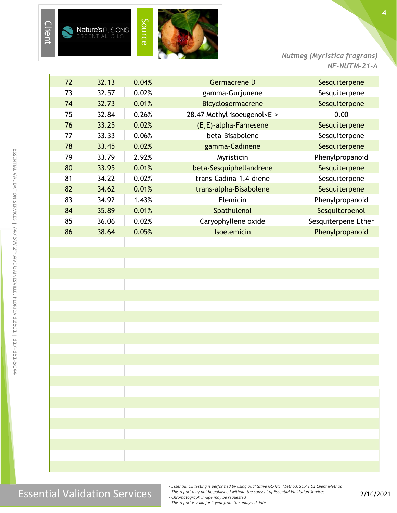

*Nutmeg (Myristica fragrans) NF-NUTM-21-A*

| 72 | 32.13 | 0.04% | Germacrene D                      | Sesquiterpene       |
|----|-------|-------|-----------------------------------|---------------------|
| 73 | 32.57 | 0.02% | gamma-Gurjunene                   | Sesquiterpene       |
| 74 | 32.73 | 0.01% | Bicyclogermacrene                 | Sesquiterpene       |
| 75 | 32.84 | 0.26% | 28.47 Methyl isoeugenol <e-></e-> | 0.00                |
| 76 | 33.25 | 0.02% | (E,E)-alpha-Farnesene             | Sesquiterpene       |
| 77 | 33.33 | 0.06% | beta-Bisabolene                   | Sesquiterpene       |
| 78 | 33.45 | 0.02% | gamma-Cadinene                    | Sesquiterpene       |
| 79 | 33.79 | 2.92% | Myristicin                        | Phenylpropanoid     |
| 80 | 33.95 | 0.01% | beta-Sesquiphellandrene           | Sesquiterpene       |
| 81 | 34.22 | 0.02% | trans-Cadina-1,4-diene            | Sesquiterpene       |
| 82 | 34.62 | 0.01% | trans-alpha-Bisabolene            | Sesquiterpene       |
| 83 | 34.92 | 1.43% | Elemicin                          | Phenylpropanoid     |
| 84 | 35.89 | 0.01% | Spathulenol                       | Sesquiterpenol      |
| 85 | 36.06 | 0.02% | Caryophyllene oxide               | Sesquiterpene Ether |
| 86 | 38.64 | 0.05% | Isoelemicin                       | Phenylpropanoid     |
|    |       |       |                                   |                     |
|    |       |       |                                   |                     |
|    |       |       |                                   |                     |
|    |       |       |                                   |                     |
|    |       |       |                                   |                     |
|    |       |       |                                   |                     |

E

*- Essential Oil testing is performed by using qualitative GC-MS. Method: SOP.T.01 Client Method*

*- This report may not be published without the consent of Essential Validation Services.*

*- Chromatograph image may be requested - This report is valid for 1 year from the analyzed date*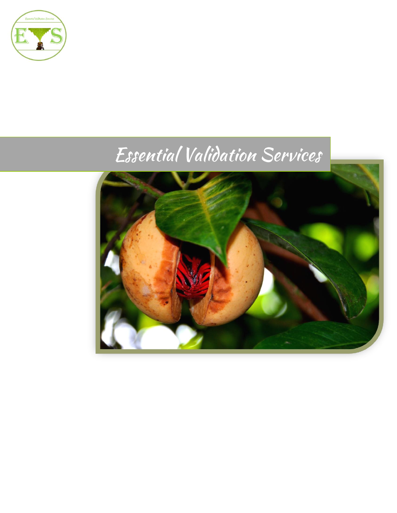

# Essential Validation Services

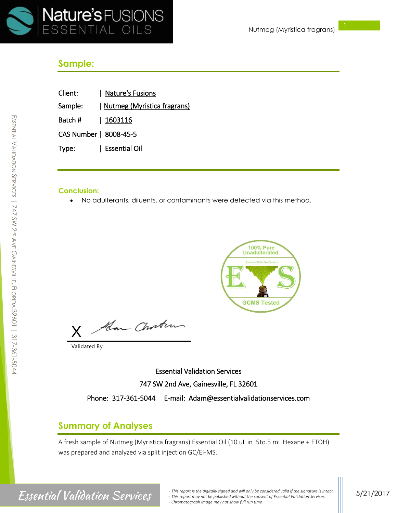

#### **Sample:**

| Client:                | Nature's Fusions            |
|------------------------|-----------------------------|
| Sample:                | Nutmeg (Myristica fragrans) |
| Batch #   1603116      |                             |
| CAS Number   8008-45-5 |                             |

Type: | Essential Oil

#### **Conclusion:**

• No adulterants, diluents, or contaminants were detected via this method.



Han Chosten X

Validated By:

Essential Validation Services 747 SW 2nd Ave, Gainesville, FL 32601 Phone: 317-361-5044 E-mail: Adam@essentialvalidationservices.com

#### **Summary of Analyses**

A fresh sample of Nutmeg (Myristica fragrans) Essential Oil (10 uL in .5to.5 mL Hexane + ETOH) was prepared and analyzed via split injection GC/EI-MS.

E

SSENTIAL

## **Essential Validation Services**

*<sup>-</sup> This report is the digitally signed and will only be considered valid if the signature is intact. - This report may not be published without the consent of Essential Validation Services. - Chromatograph image may not show full run time*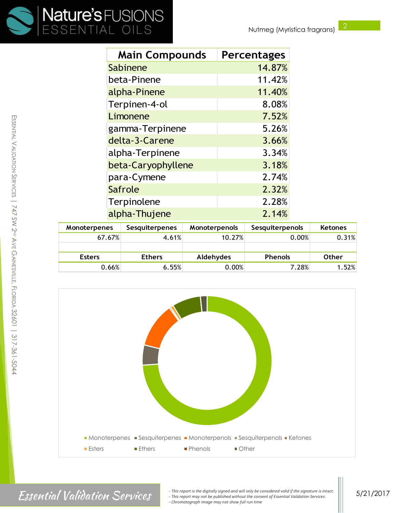

| <b>Main Compounds</b> | <b>Percentages</b> |
|-----------------------|--------------------|
| Sabinene              | 14.87%             |
| beta-Pinene           | 11.42%             |
| alpha-Pinene          | 11.40%             |
| Terpinen-4-ol         | 8.08%              |
| Limonene              | 7.52%              |
| gamma-Terpinene       | 5.26%              |
| delta-3-Carene        | 3.66%              |
| alpha-Terpinene       | 3.34%              |
| beta-Caryophyllene    | 3.18%              |
| para-Cymene           | 2.74%              |
| Safrole               | 2.32%              |
| Terpinolene           | 2.28%              |
| alpha-Thujene         | 2.14%              |

| <b>Monoterpenes</b> | <b>Sesquiterpenes</b> | Monoterpenols | Sesquiterpenols | <b>Ketones</b> |
|---------------------|-----------------------|---------------|-----------------|----------------|
| 67.67%              | 4.61%                 | 10.27%        | 0.00%           | 0.31%          |
|                     |                       |               |                 |                |
| <b>Esters</b>       | <b>Ethers</b>         | Aldehydes     | <b>Phenols</b>  | <b>Other</b>   |
| 0.66%               | 6.55%                 | 0.00%         | 7.28%           | 1.52%          |



Essential Validation Services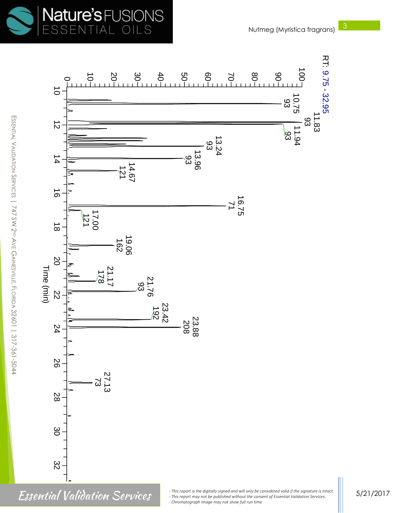



E

SSENTIAL

 $\,<$ 

ALIDATION

 $\backsim$ ERVICES | 747

SW 2ND

AVE G

AINESVILLE

.<br>ה

LORIDA

Essential Validation Services

5/21/2017

*<sup>-</sup> This report is the digitally signed and will only be considered valid if the signature is intact. - This report may not be published without the consent of Essential Validation Services. - Chromatograph image may not show full run time* be co<br>:onse<br>ime nside<br>nt of red valid if the signa<br>Essential Validation<br>. alid i<br>Itial<br>the<br>alid<br>re i.<br><sup>.</sup>rvid<br>.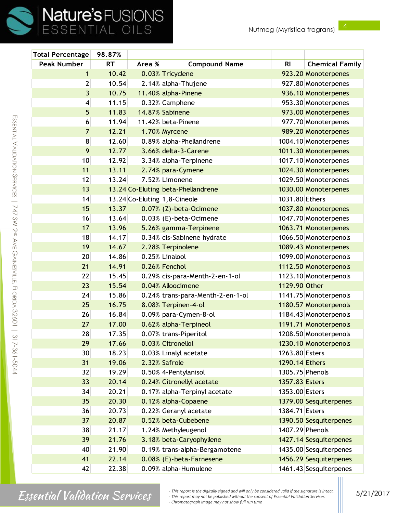m

SSENTIAL

 $\,<$ 

ALIDATION

 $\mathcal{S}$ ERVICES | 

SW 2ND

AVE G

AINESVILLE

.<br>ה

LORIDA

  $\overline{\phantom{a}}$ 

| <b>Total Percentage</b> | 98.87%    |        |                                    |                 |                        |
|-------------------------|-----------|--------|------------------------------------|-----------------|------------------------|
| <b>Peak Number</b>      | <b>RT</b> | Area % | <b>Compound Name</b>               | R <sub>l</sub>  | <b>Chemical Family</b> |
| $\mathbf{1}$            | 10.42     |        | 0.03% Tricyclene                   |                 | 923.20 Monoterpenes    |
| $\overline{2}$          | 10.54     |        | 2.14% alpha-Thujene                |                 | 927.80 Monoterpenes    |
| $\overline{3}$          | 10.75     |        | 11.40% alpha-Pinene                |                 | 936.10 Monoterpenes    |
| 4                       | 11.15     |        | 0.32% Camphene                     |                 | 953.30 Monoterpenes    |
| 5                       | 11.83     |        | 14.87% Sabinene                    |                 | 973.00 Monoterpenes    |
| 6                       | 11.94     |        | 11.42% beta-Pinene                 |                 | 977.70 Monoterpenes    |
| $\overline{7}$          | 12.21     |        | 1.70% Myrcene                      |                 | 989.20 Monoterpenes    |
| 8                       | 12.60     |        | 0.89% alpha-Phellandrene           |                 | 1004.10 Monoterpenes   |
| 9                       | 12.77     |        | 3.66% delta-3-Carene               |                 | 1011.30 Monoterpenes   |
| 10                      | 12.92     |        | 3.34% alpha-Terpinene              |                 | 1017.10 Monoterpenes   |
| 11                      | 13.11     |        | 2.74% para-Cymene                  |                 | 1024.30 Monoterpenes   |
| 12                      | 13.24     |        | 7.52% Limonene                     |                 | 1029.50 Monoterpenes   |
| 13                      |           |        | 13.24 Co-Eluting beta-Phellandrene |                 | 1030.00 Monoterpenes   |
| 14                      |           |        | 13.24 Co-Eluting 1,8-Cineole       | 1031.80 Ethers  |                        |
| 15                      | 13.37     |        | 0.07% (Z)-beta-Ocimene             |                 | 1037.80 Monoterpenes   |
| 16                      | 13.64     |        | $0.03\%$ (E)-beta-Ocimene          |                 | 1047.70 Monoterpenes   |
| 17                      | 13.96     |        | 5.26% gamma-Terpinene              |                 | 1063.71 Monoterpenes   |
| 18                      | 14.17     |        | 0.34% cis-Sabinene hydrate         |                 | 1066.50 Monoterpenols  |
| 19                      | 14.67     |        | 2.28% Terpinolene                  |                 | 1089.43 Monoterpenes   |
| 20                      | 14.86     |        | 0.25% Linalool                     |                 | 1099.00 Monoterpenols  |
| 21                      | 14.91     |        | 0.26% Fenchol                      |                 | 1112.50 Monoterpenols  |
| 22                      | 15.45     |        | 0.29% cis-para-Menth-2-en-1-ol     |                 | 1123.10 Monoterpenols  |
| 23                      | 15.54     |        | 0.04% Alloocimene                  | 1129.90 Other   |                        |
| 24                      | 15.86     |        | 0.24% trans-para-Menth-2-en-1-ol   |                 | 1141.75 Monoterpenols  |
| 25                      | 16.75     |        | 8.08% Terpinen-4-ol                |                 | 1180.57 Monoterpenols  |
| 26                      | 16.84     |        | 0.09% para-Cymen-8-ol              |                 | 1184.43 Monoterpenols  |
| 27                      | 17.00     |        | 0.62% alpha-Terpineol              |                 | 1191.71 Monoterpenols  |
| 28                      | 17.35     |        | 0.07% trans-Piperitol              |                 | 1208.50 Monoterpenols  |
| 29                      | 17.66     |        | 0.03% Citronellol                  |                 | 1230.10 Monoterpenols  |
| 30                      | 18.23     |        | 0.03% Linalyl acetate              | 1263.80 Esters  |                        |
| 31                      | 19.06     |        | 2.32% Safrole                      | 1290.14 Ethers  |                        |
| 32                      | 19.29     |        | 0.50% 4- Pentylanisol              | 1305.75 Phenols |                        |
| 33                      | 20.14     |        | 0.24% Citronellyl acetate          | 1357.83 Esters  |                        |
| 34                      | 20.21     |        | 0.17% alpha-Terpinyl acetate       | 1353.00 Esters  |                        |
| 35                      | 20.30     |        | 0.12% alpha-Copaene                |                 | 1379.00 Sesquiterpenes |
| 36                      | 20.73     |        | 0.22% Geranyl acetate              | 1384.71 Esters  |                        |
| 37                      | 20.87     |        | 0.52% beta-Cubebene                |                 | 1390.50 Sesquiterpenes |
| 38                      | 21.17     |        | 1.24% Methyleugenol                | 1407.29 Phenols |                        |
| 39                      | 21.76     |        | 3.18% beta-Caryophyllene           |                 | 1427.14 Sesquiterpenes |
| 40                      | 21.90     |        | 0.19% trans-alpha-Bergamotene      |                 | 1435.00 Sesquiterpenes |
| 41                      | 22.14     |        | 0.08% (E)-beta-Farnesene           |                 | 1456.29 Sesquiterpenes |
| 42                      | 22.38     |        | 0.09% alpha-Humulene               |                 | 1461.43 Sesquiterpenes |

# 317-361-5044

# Essential Validation Services

*- This report is the digitally signed and will only be considered valid if the signature is intact. - This report may not be published without the consent of Essential Validation Services. - Chromatograph image may not show full run time*